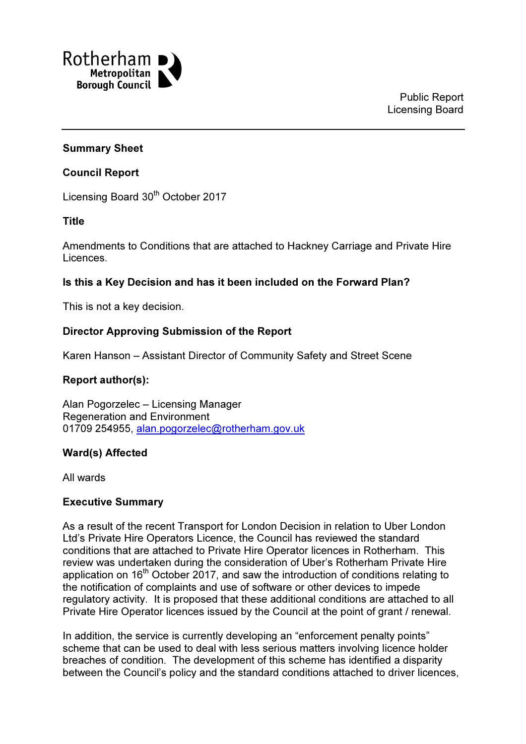

### Summary Sheet

#### Council Report

Licensing Board 30<sup>th</sup> October 2017

#### Title

Amendments to Conditions that are attached to Hackney Carriage and Private Hire Licences.

### Is this a Key Decision and has it been included on the Forward Plan?

This is not a key decision.

### Director Approving Submission of the Report

Karen Hanson – Assistant Director of Community Safety and Street Scene

### Report author(s):

Alan Pogorzelec – Licensing Manager Regeneration and Environment 01709 254955, alan.pogorzelec@rotherham.gov.uk

### Ward(s) Affected

All wards

#### Executive Summary

As a result of the recent Transport for London Decision in relation to Uber London Ltd's Private Hire Operators Licence, the Council has reviewed the standard conditions that are attached to Private Hire Operator licences in Rotherham. This review was undertaken during the consideration of Uber's Rotherham Private Hire application on 16<sup>th</sup> October 2017, and saw the introduction of conditions relating to the notification of complaints and use of software or other devices to impede regulatory activity. It is proposed that these additional conditions are attached to all Private Hire Operator licences issued by the Council at the point of grant / renewal.

In addition, the service is currently developing an "enforcement penalty points" scheme that can be used to deal with less serious matters involving licence holder breaches of condition. The development of this scheme has identified a disparity between the Council's policy and the standard conditions attached to driver licences,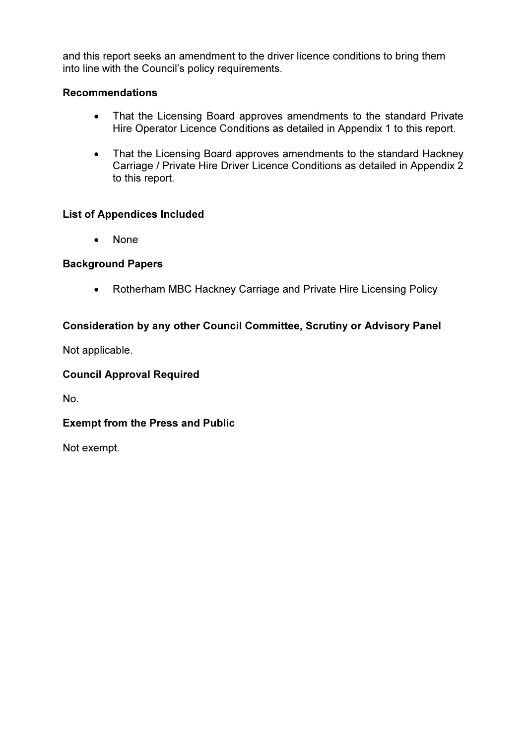and this report seeks an amendment to the driver licence conditions to bring them into line with the Council's policy requirements.

# Recommendations

- That the Licensing Board approves amendments to the standard Private Hire Operator Licence Conditions as detailed in Appendix 1 to this report.
- That the Licensing Board approves amendments to the standard Hackney Carriage / Private Hire Driver Licence Conditions as detailed in Appendix 2 to this report.

# List of Appendices Included

• None

# Background Papers

• Rotherham MBC Hackney Carriage and Private Hire Licensing Policy

# Consideration by any other Council Committee, Scrutiny or Advisory Panel

Not applicable.

# Council Approval Required

No.

# Exempt from the Press and Public

Not exempt.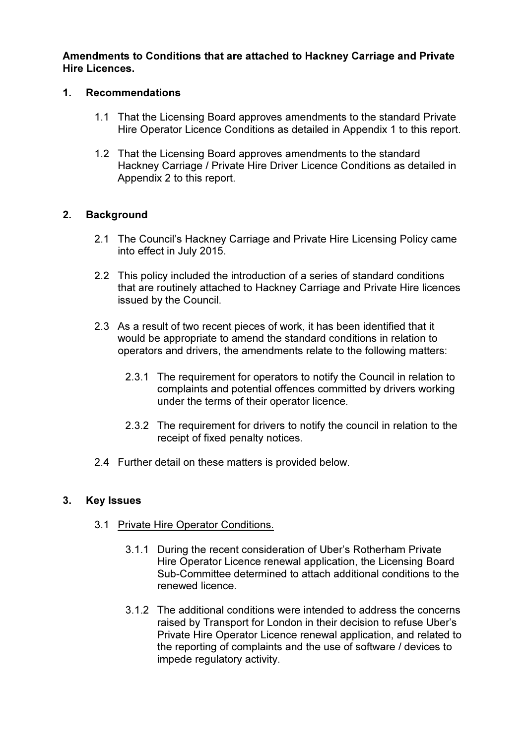Amendments to Conditions that are attached to Hackney Carriage and Private Hire Licences.

## 1. Recommendations

- 1.1 That the Licensing Board approves amendments to the standard Private Hire Operator Licence Conditions as detailed in Appendix 1 to this report.
- 1.2 That the Licensing Board approves amendments to the standard Hackney Carriage / Private Hire Driver Licence Conditions as detailed in Appendix 2 to this report.

# 2. Background

- 2.1 The Council's Hackney Carriage and Private Hire Licensing Policy came into effect in July 2015.
- 2.2 This policy included the introduction of a series of standard conditions that are routinely attached to Hackney Carriage and Private Hire licences issued by the Council.
- 2.3 As a result of two recent pieces of work, it has been identified that it would be appropriate to amend the standard conditions in relation to operators and drivers, the amendments relate to the following matters:
	- 2.3.1 The requirement for operators to notify the Council in relation to complaints and potential offences committed by drivers working under the terms of their operator licence.
	- 2.3.2 The requirement for drivers to notify the council in relation to the receipt of fixed penalty notices.
- 2.4 Further detail on these matters is provided below.

# 3. Key Issues

- 3.1 Private Hire Operator Conditions.
	- 3.1.1 During the recent consideration of Uber's Rotherham Private Hire Operator Licence renewal application, the Licensing Board Sub-Committee determined to attach additional conditions to the renewed licence.
	- 3.1.2 The additional conditions were intended to address the concerns raised by Transport for London in their decision to refuse Uber's Private Hire Operator Licence renewal application, and related to the reporting of complaints and the use of software / devices to impede regulatory activity.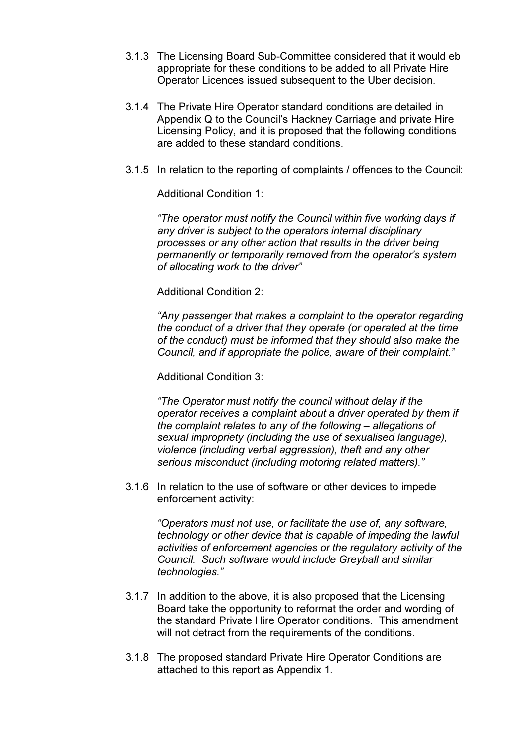- 3.1.3 The Licensing Board Sub-Committee considered that it would eb appropriate for these conditions to be added to all Private Hire Operator Licences issued subsequent to the Uber decision.
- 3.1.4 The Private Hire Operator standard conditions are detailed in Appendix Q to the Council's Hackney Carriage and private Hire Licensing Policy, and it is proposed that the following conditions are added to these standard conditions.
- 3.1.5 In relation to the reporting of complaints / offences to the Council:

Additional Condition 1:

"The operator must notify the Council within five working days if any driver is subject to the operators internal disciplinary processes or any other action that results in the driver being permanently or temporarily removed from the operator's system of allocating work to the driver"

Additional Condition 2:

"Any passenger that makes a complaint to the operator regarding the conduct of a driver that they operate (or operated at the time of the conduct) must be informed that they should also make the Council, and if appropriate the police, aware of their complaint."

Additional Condition 3:

"The Operator must notify the council without delay if the operator receives a complaint about a driver operated by them if the complaint relates to any of the following – allegations of sexual impropriety (including the use of sexualised language), violence (including verbal aggression), theft and any other serious misconduct (including motoring related matters)."

3.1.6 In relation to the use of software or other devices to impede enforcement activity:

> "Operators must not use, or facilitate the use of, any software, technology or other device that is capable of impeding the lawful activities of enforcement agencies or the regulatory activity of the Council. Such software would include Greyball and similar technologies."

- 3.1.7 In addition to the above, it is also proposed that the Licensing Board take the opportunity to reformat the order and wording of the standard Private Hire Operator conditions. This amendment will not detract from the requirements of the conditions.
- 3.1.8 The proposed standard Private Hire Operator Conditions are attached to this report as Appendix 1.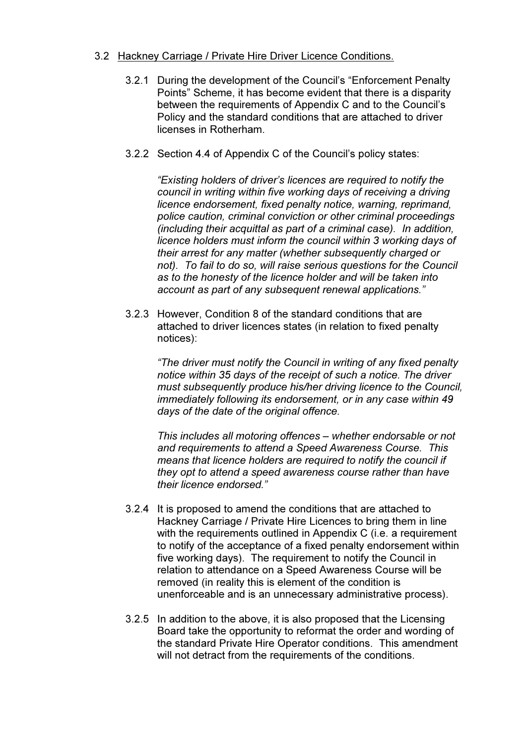### 3.2 Hackney Carriage / Private Hire Driver Licence Conditions.

- 3.2.1 During the development of the Council's "Enforcement Penalty Points" Scheme, it has become evident that there is a disparity between the requirements of Appendix C and to the Council's Policy and the standard conditions that are attached to driver licenses in Rotherham.
- 3.2.2 Section 4.4 of Appendix C of the Council's policy states:

"Existing holders of driver's licences are required to notify the council in writing within five working days of receiving a driving licence endorsement, fixed penalty notice, warning, reprimand, police caution, criminal conviction or other criminal proceedings (including their acquittal as part of a criminal case). In addition, licence holders must inform the council within 3 working days of their arrest for any matter (whether subsequently charged or not). To fail to do so, will raise serious questions for the Council as to the honesty of the licence holder and will be taken into account as part of any subsequent renewal applications."

3.2.3 However, Condition 8 of the standard conditions that are attached to driver licences states (in relation to fixed penalty notices):

> "The driver must notify the Council in writing of any fixed penalty notice within 35 days of the receipt of such a notice. The driver must subsequently produce his/her driving licence to the Council, immediately following its endorsement, or in any case within 49 days of the date of the original offence.

This includes all motoring offences – whether endorsable or not and requirements to attend a Speed Awareness Course. This means that licence holders are required to notify the council if they opt to attend a speed awareness course rather than have their licence endorsed."

- 3.2.4 It is proposed to amend the conditions that are attached to Hackney Carriage / Private Hire Licences to bring them in line with the requirements outlined in Appendix C (i.e. a requirement to notify of the acceptance of a fixed penalty endorsement within five working days). The requirement to notify the Council in relation to attendance on a Speed Awareness Course will be removed (in reality this is element of the condition is unenforceable and is an unnecessary administrative process).
- 3.2.5 In addition to the above, it is also proposed that the Licensing Board take the opportunity to reformat the order and wording of the standard Private Hire Operator conditions. This amendment will not detract from the requirements of the conditions.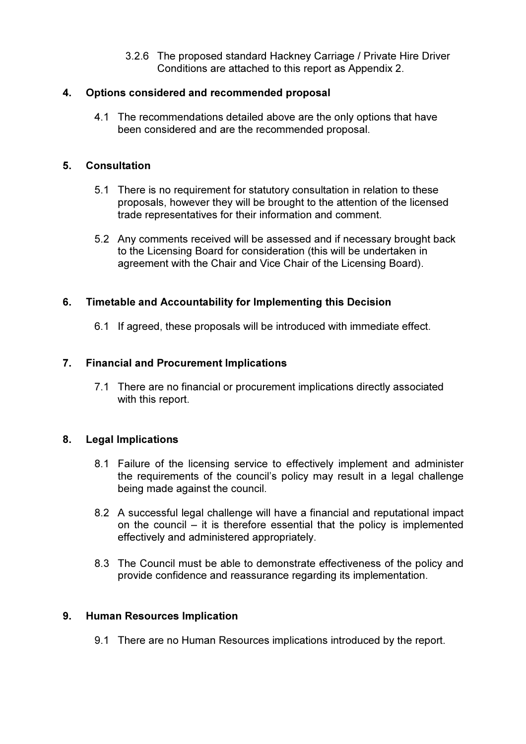3.2.6 The proposed standard Hackney Carriage / Private Hire Driver Conditions are attached to this report as Appendix 2.

## 4. Options considered and recommended proposal

4.1 The recommendations detailed above are the only options that have been considered and are the recommended proposal.

## 5. Consultation

- 5.1 There is no requirement for statutory consultation in relation to these proposals, however they will be brought to the attention of the licensed trade representatives for their information and comment.
- 5.2 Any comments received will be assessed and if necessary brought back to the Licensing Board for consideration (this will be undertaken in agreement with the Chair and Vice Chair of the Licensing Board).

## 6. Timetable and Accountability for Implementing this Decision

6.1 If agreed, these proposals will be introduced with immediate effect.

## 7. Financial and Procurement Implications

7.1 There are no financial or procurement implications directly associated with this report.

### 8. Legal Implications

- 8.1 Failure of the licensing service to effectively implement and administer the requirements of the council's policy may result in a legal challenge being made against the council.
- 8.2 A successful legal challenge will have a financial and reputational impact on the council – it is therefore essential that the policy is implemented effectively and administered appropriately.
- 8.3 The Council must be able to demonstrate effectiveness of the policy and provide confidence and reassurance regarding its implementation.

### 9. Human Resources Implication

9.1 There are no Human Resources implications introduced by the report.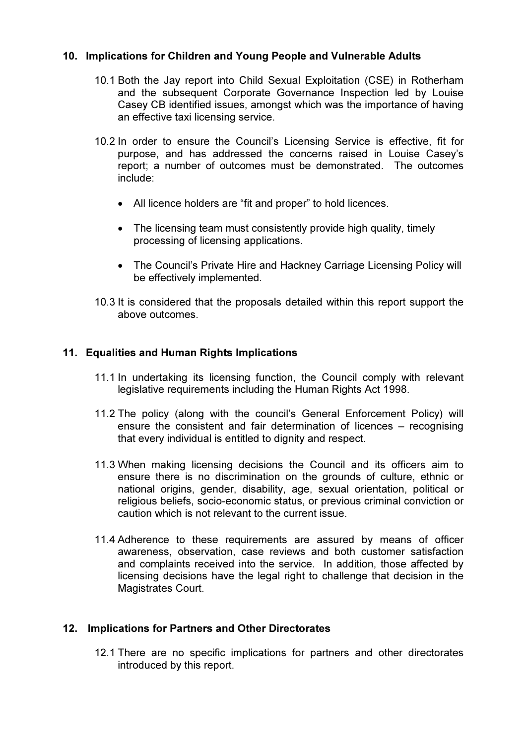## 10. Implications for Children and Young People and Vulnerable Adults

- 10.1 Both the Jay report into Child Sexual Exploitation (CSE) in Rotherham and the subsequent Corporate Governance Inspection led by Louise Casey CB identified issues, amongst which was the importance of having an effective taxi licensing service.
- 10.2 In order to ensure the Council's Licensing Service is effective, fit for purpose, and has addressed the concerns raised in Louise Casey's report; a number of outcomes must be demonstrated. The outcomes include:
	- All licence holders are "fit and proper" to hold licences.
	- The licensing team must consistently provide high quality, timely processing of licensing applications.
	- The Council's Private Hire and Hackney Carriage Licensing Policy will be effectively implemented.
- 10.3 It is considered that the proposals detailed within this report support the above outcomes.

## 11. Equalities and Human Rights Implications

- 11.1 In undertaking its licensing function, the Council comply with relevant legislative requirements including the Human Rights Act 1998.
- 11.2 The policy (along with the council's General Enforcement Policy) will ensure the consistent and fair determination of licences – recognising that every individual is entitled to dignity and respect.
- 11.3 When making licensing decisions the Council and its officers aim to ensure there is no discrimination on the grounds of culture, ethnic or national origins, gender, disability, age, sexual orientation, political or religious beliefs, socio-economic status, or previous criminal conviction or caution which is not relevant to the current issue.
- 11.4 Adherence to these requirements are assured by means of officer awareness, observation, case reviews and both customer satisfaction and complaints received into the service. In addition, those affected by licensing decisions have the legal right to challenge that decision in the Magistrates Court.

### 12. Implications for Partners and Other Directorates

12.1 There are no specific implications for partners and other directorates introduced by this report.